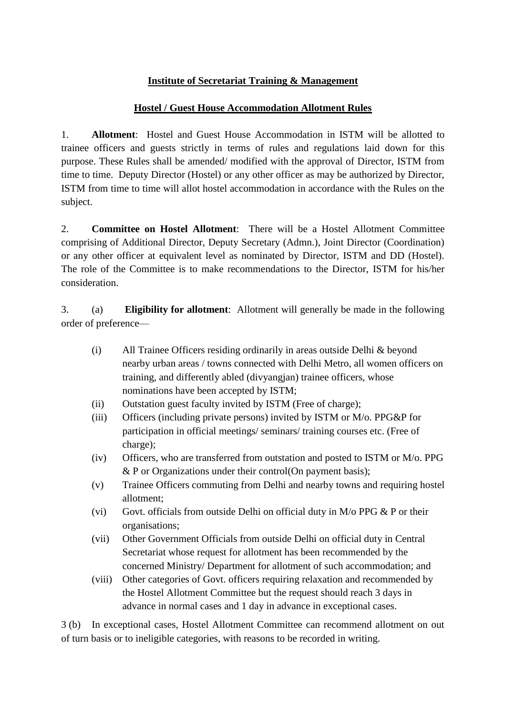## **Institute of Secretariat Training & Management**

## **Hostel / Guest House Accommodation Allotment Rules**

1. **Allotment**: Hostel and Guest House Accommodation in ISTM will be allotted to trainee officers and guests strictly in terms of rules and regulations laid down for this purpose. These Rules shall be amended/ modified with the approval of Director, ISTM from time to time. Deputy Director (Hostel) or any other officer as may be authorized by Director, ISTM from time to time will allot hostel accommodation in accordance with the Rules on the subject.

2. **Committee on Hostel Allotment**: There will be a Hostel Allotment Committee comprising of Additional Director, Deputy Secretary (Admn.), Joint Director (Coordination) or any other officer at equivalent level as nominated by Director, ISTM and DD (Hostel). The role of the Committee is to make recommendations to the Director, ISTM for his/her consideration.

3. (a) **Eligibility for allotment**: Allotment will generally be made in the following order of preference—

- (i) All Trainee Officers residing ordinarily in areas outside Delhi & beyond nearby urban areas / towns connected with Delhi Metro, all women officers on training, and differently abled (divyangjan) trainee officers, whose nominations have been accepted by ISTM;
- (ii) Outstation guest faculty invited by ISTM (Free of charge);
- (iii) Officers (including private persons) invited by ISTM or M/o. PPG&P for participation in official meetings/ seminars/ training courses etc. (Free of charge);
- (iv) Officers, who are transferred from outstation and posted to ISTM or M/o. PPG & P or Organizations under their control(On payment basis);
- (v) Trainee Officers commuting from Delhi and nearby towns and requiring hostel allotment;
- (vi) Govt. officials from outside Delhi on official duty in  $M/O$  PPG  $&$  P or their organisations;
- (vii) Other Government Officials from outside Delhi on official duty in Central Secretariat whose request for allotment has been recommended by the concerned Ministry/ Department for allotment of such accommodation; and
- (viii) Other categories of Govt. officers requiring relaxation and recommended by the Hostel Allotment Committee but the request should reach 3 days in advance in normal cases and 1 day in advance in exceptional cases.

3 (b) In exceptional cases, Hostel Allotment Committee can recommend allotment on out of turn basis or to ineligible categories, with reasons to be recorded in writing.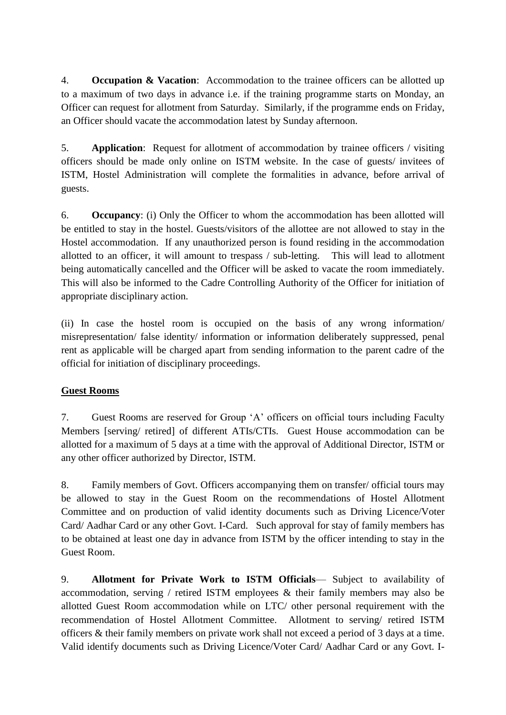4. **Occupation & Vacation**: Accommodation to the trainee officers can be allotted up to a maximum of two days in advance i.e. if the training programme starts on Monday, an Officer can request for allotment from Saturday. Similarly, if the programme ends on Friday, an Officer should vacate the accommodation latest by Sunday afternoon.

5. **Application**: Request for allotment of accommodation by trainee officers / visiting officers should be made only online on ISTM website. In the case of guests/ invitees of ISTM, Hostel Administration will complete the formalities in advance, before arrival of guests.

6. **Occupancy**: (i) Only the Officer to whom the accommodation has been allotted will be entitled to stay in the hostel. Guests/visitors of the allottee are not allowed to stay in the Hostel accommodation. If any unauthorized person is found residing in the accommodation allotted to an officer, it will amount to trespass / sub-letting. This will lead to allotment being automatically cancelled and the Officer will be asked to vacate the room immediately. This will also be informed to the Cadre Controlling Authority of the Officer for initiation of appropriate disciplinary action.

(ii) In case the hostel room is occupied on the basis of any wrong information/ misrepresentation/ false identity/ information or information deliberately suppressed, penal rent as applicable will be charged apart from sending information to the parent cadre of the official for initiation of disciplinary proceedings.

## **Guest Rooms**

7. Guest Rooms are reserved for Group 'A' officers on official tours including Faculty Members [serving/ retired] of different ATIs/CTIs. Guest House accommodation can be allotted for a maximum of 5 days at a time with the approval of Additional Director, ISTM or any other officer authorized by Director, ISTM.

8. Family members of Govt. Officers accompanying them on transfer/ official tours may be allowed to stay in the Guest Room on the recommendations of Hostel Allotment Committee and on production of valid identity documents such as Driving Licence/Voter Card/ Aadhar Card or any other Govt. I-Card. Such approval for stay of family members has to be obtained at least one day in advance from ISTM by the officer intending to stay in the Guest Room.

9. **Allotment for Private Work to ISTM Officials**— Subject to availability of accommodation, serving / retired ISTM employees & their family members may also be allotted Guest Room accommodation while on LTC/ other personal requirement with the recommendation of Hostel Allotment Committee. Allotment to serving/ retired ISTM officers & their family members on private work shall not exceed a period of 3 days at a time. Valid identify documents such as Driving Licence/Voter Card/ Aadhar Card or any Govt. I-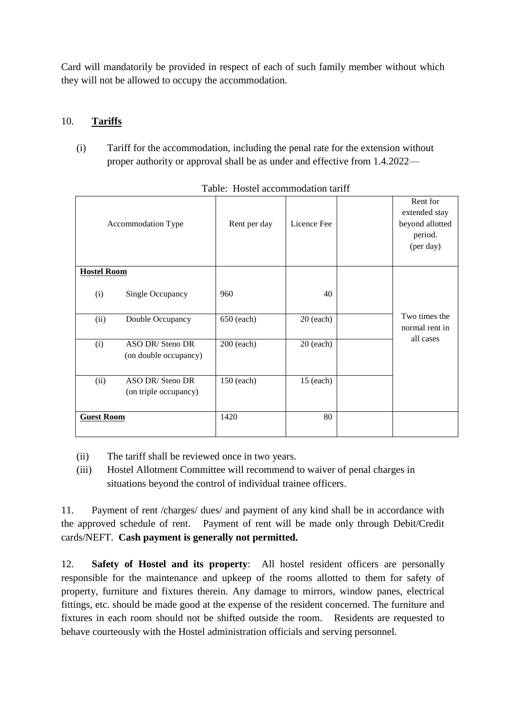Card will mandatorily be provided in respect of each of such family member without which they will not be allowed to occupy the accommodation.

## 10. **Tariffs**

(i) Tariff for the accommodation, including the penal rate for the extension without proper authority or approval shall be as under and effective from 1.4.2022—

| Accommodation Type                               | Rent per day | Licence Fee | Rent for<br>extended stay<br>beyond allotted<br>period.<br>(per day) |
|--------------------------------------------------|--------------|-------------|----------------------------------------------------------------------|
| <b>Hostel Room</b>                               |              |             |                                                                      |
| (i)<br>Single Occupancy                          | 960          | 40          |                                                                      |
| (ii)<br>Double Occupancy                         | 650 (each)   | $20$ (each) | Two times the<br>normal rent in                                      |
| ASO DR/Steno DR<br>(i)<br>(on double occupancy)  | 200 (each)   | $20$ (each) | all cases                                                            |
| ASO DR/Steno DR<br>(ii)<br>(on triple occupancy) | 150 (each)   | $15$ (each) |                                                                      |
| <b>Guest Room</b>                                | 1420         | 80          |                                                                      |

Table: Hostel accommodation tariff

- (ii) The tariff shall be reviewed once in two years.
- (iii) Hostel Allotment Committee will recommend to waiver of penal charges in situations beyond the control of individual trainee officers.

11. Payment of rent /charges/ dues/ and payment of any kind shall be in accordance with the approved schedule of rent. Payment of rent will be made only through Debit/Credit cards/NEFT. **Cash payment is generally not permitted.** 

12. **Safety of Hostel and its property**: All hostel resident officers are personally responsible for the maintenance and upkeep of the rooms allotted to them for safety of property, furniture and fixtures therein. Any damage to mirrors, window panes, electrical fittings, etc. should be made good at the expense of the resident concerned. The furniture and fixtures in each room should not be shifted outside the room. Residents are requested to behave courteously with the Hostel administration officials and serving personnel.